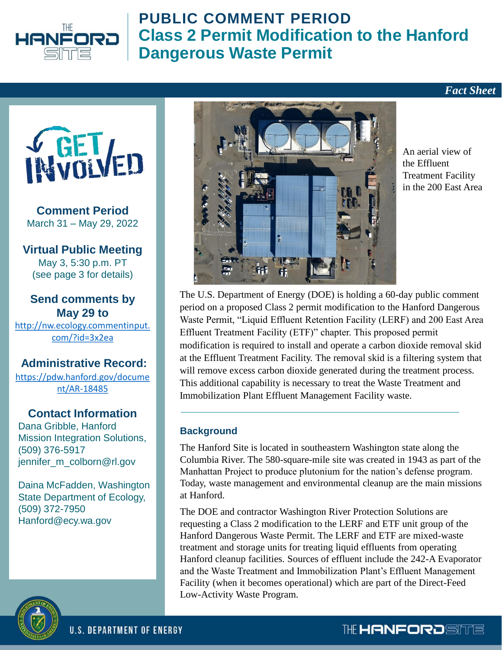



**Comment Period** March 31 – May 29, 2022

**Virtual Public Meeting** May 3, 5:30 p.m. PT (see page 3 for details)

#### **Send comments by May 29 to**

[http://nw.ecology.commentinput.](http://nw.ecology.commentinput.com/?id=3x2ea) com/?id=3x2ea

#### **Administrative Record:**

[https://pdw.hanford.gov/docume](https://pdw.hanford.gov/document/AR-18485) nt/AR-18485

#### **Contact Information**

Dana Gribble, Hanford Mission Integration Solutions, (509) 376-5917 jennifer\_m\_colborn@rl.gov

Daina McFadden, Washington State Department of Ecology, (509) 372-7950 Hanford@ecy.wa.gov



An aerial view of the Effluent Treatment Facility in the 200 East Area

*Fact Sheet*

The U.S. Department of Energy (DOE) is holding a 60-day public comment period on a proposed Class 2 permit modification to the Hanford Dangerous Waste Permit, "Liquid Effluent Retention Facility (LERF) and 200 East Area Effluent Treatment Facility (ETF)" chapter. This proposed permit modification is required to install and operate a carbon dioxide removal skid at the Effluent Treatment Facility. The removal skid is a filtering system that will remove excess carbon dioxide generated during the treatment process. This additional capability is necessary to treat the Waste Treatment and Immobilization Plant Effluent Management Facility waste.

#### **Background**

The Hanford Site is located in southeastern Washington state along the Columbia River. The 580-square-mile site was created in 1943 as part of the Manhattan Project to produce plutonium for the nation's defense program. Today, waste management and environmental cleanup are the main missions at Hanford.

The DOE and contractor Washington River Protection Solutions are requesting a Class 2 modification to the LERF and ETF unit group of the Hanford Dangerous Waste Permit. The LERF and ETF are mixed-waste treatment and storage units for treating liquid effluents from operating Hanford cleanup facilities. Sources of effluent include the 242-A Evaporator and the Waste Treatment and Immobilization Plant's Effluent Management Facility (when it becomes operational) which are part of the Direct-Feed Low-Activity Waste Program.



THE **HANFORDSITTE**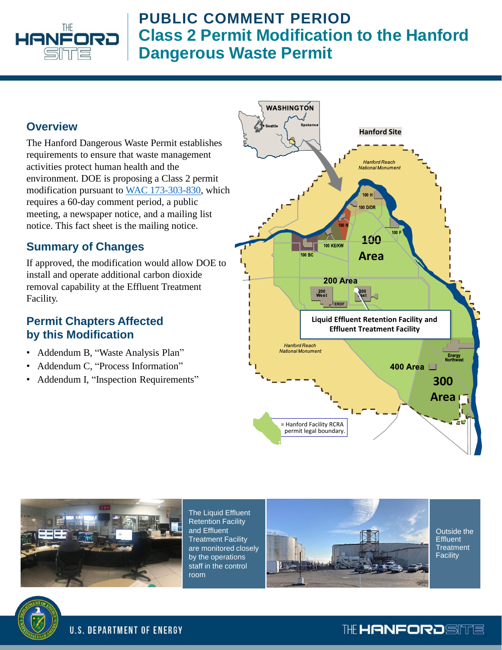

#### **Overview**

The Hanford Dangerous Waste Permit establishes requirements to ensure that waste management activities protect human health and the environment. DOE is proposing a Class 2 permit modification pursuant to [WAC 173-303-830](https://apps.leg.wa.gov/Wac/default.aspx?cite=173-303-830), which requires a 60-day comment period, a public meeting, a newspaper notice, and a mailing list notice. This fact sheet is the mailing notice.

#### **Summary of Changes**

If approved, the modification would allow DOE to install and operate additional carbon dioxide removal capability at the Effluent Treatment Facility.

#### **Permit Chapters Affected by this Modification**

- Addendum B, "Waste Analysis Plan"
- Addendum C, "Process Information"
- Addendum I, "Inspection Requirements"





The Liquid Effluent Retention Facility and Effluent Treatment Facility are monitored closely by the operations staff in the control room



Outside the **Effluent** Treatment **Facility** 



THE HANFORDSITE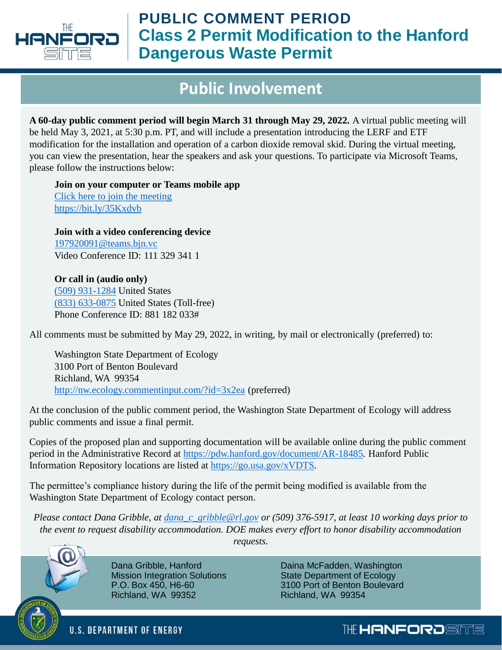

## **Public Involvement**

**A 60-day public comment period will begin March 31 through May 29, 2022.** A virtual public meeting will be held May 3, 2021, at 5:30 p.m. PT, and will include a presentation introducing the LERF and ETF modification for the installation and operation of a carbon dioxide removal skid. During the virtual meeting, you can view the presentation, hear the speakers and ask your questions. To participate via Microsoft Teams, please follow the instructions below:

**Join on your computer or Teams mobile app**  [Click here to join the meeting](https://gcc02.safelinks.protection.outlook.com/ap/t-59584e83/?url=https%3A%2F%2Fteams.microsoft.com%2Fl%2Fmeetup-join%2F19%253ameeting_OTE0MzVhNWEtYjJkMS00NWQzLWJjMmQtZjNhNjZmYTMxM2I1%2540thread.v2%2F0%3Fcontext%3D%257b%2522Tid%2522%253a%252261e35c42-ffa0-4f89-bb15-2b8c13320625%2522%252c%2522Oid%2522%253a%25226f25036e-a1d9-4f04-91b5-7ff5d0ef865c%2522%257d&data=04%7C01%7Cjennifer_m_colborn%40rl.gov%7C816f46016e4e444655ce08da014695fd%7C61e35c42ffa04f89bb152b8c13320625%7C0%7C0%7C637823699910534242%7CUnknown%7CTWFpbGZsb3d8eyJWIjoiMC4wLjAwMDAiLCJQIjoiV2luMzIiLCJBTiI6Ik1haWwiLCJXVCI6Mn0%3D%7C3000&sdata=KkhPjg3jsMHUPh%2FoaYqC1tIUjQZ3iRaYwHBFQURgORg%3D&reserved=0) <https://bit.ly/35Kxdvb>

**Join with a video conferencing device** [197920091@teams.bjn.vc](mailto:197920091@teams.bjn.vc) Video Conference ID: 111 329 341 1

**Or call in (audio only)** [\(509\) 931-1284](tel:+15099311284,,536266435# ) United States [\(833\) 633-0875](tel:8336330875,,536266435# ) United States (Toll-free) Phone Conference ID: 881 182 033#

All comments must be submitted by May 29, 2022, in writing, by mail or electronically (preferred) to:

Washington State Department of Ecology 3100 Port of Benton Boulevard Richland, WA 99354 <http://nw.ecology.commentinput.com/?id=3x2ea> (preferred)

At the conclusion of the public comment period, the Washington State Department of Ecology will address public comments and issue a final permit.

Copies of the proposed plan and supporting documentation will be available online during the public comment period in the Administrative Record at [https://pdw.hanford.gov/document/AR-18485.](https://pdw.hanford.gov/document/AR-18485) Hanford Public Information Repository locations are listed at <https://go.usa.gov/xVDTS>.

The permittee's compliance history during the life of the permit being modified is available from the Washington State Department of Ecology contact person.

*Please contact Dana Gribble, at [dana\\_c\\_gribble@rl.gov](mailto:dana_c_gribble@rl.gov) or (509) 376-5917, at least 10 working days prior to the event to request disability accommodation. DOE makes every effort to honor disability accommodation requests.* 



Dana Gribble, Hanford Mission Integration Solutions P.O. Box 450, H6-60 Richland, WA 99352

Daina McFadden, Washington State Department of Ecology 3100 Port of Benton Boulevard Richland, WA 99354

**U.S. DEPARTMENT OF ENERGY**